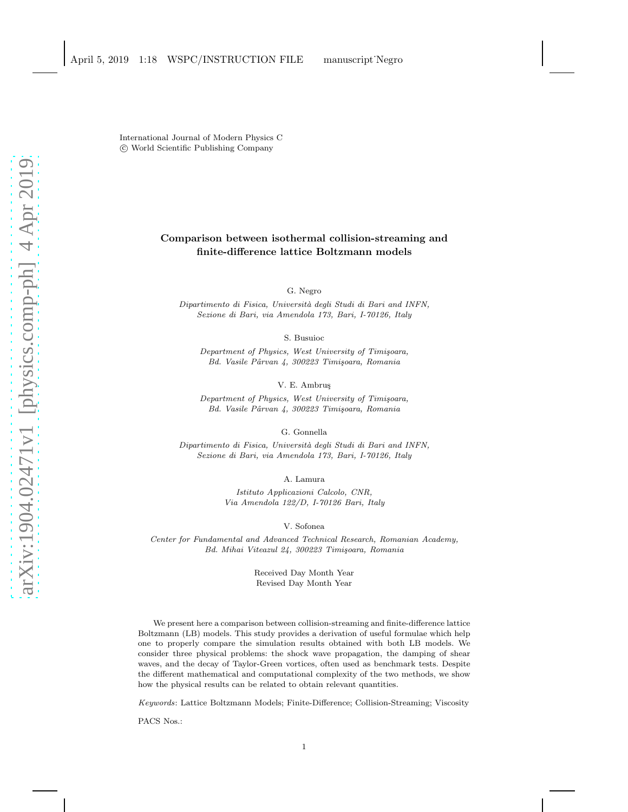International Journal of Modern Physics C c World Scientific Publishing Company

# Comparison between isothermal collision-streaming and finite-difference lattice Boltzmann models

G. Negro

Dipartimento di Fisica, Universit`a degli Studi di Bari and INFN, Sezione di Bari, via Amendola 173, Bari, I-70126, Italy

S. Busuioc

Department of Physics, West University of Timișoara, Bd. Vasile Pârvan 4, 300223 Timişoara, Romania

V. E. Ambruş

Department of Physics, West University of Timișoara, Bd. Vasile Pârvan 4, 300223 Timişoara, Romania

G. Gonnella

Dipartimento di Fisica, Università degli Studi di Bari and INFN, Sezione di Bari, via Amendola 173, Bari, I-70126, Italy

A. Lamura

Istituto Applicazioni Calcolo, CNR, Via Amendola 122/D, I-70126 Bari, Italy

V. Sofonea

Center for Fundamental and Advanced Technical Research, Romanian Academy, Bd. Mihai Viteazul 24, 300223 Timișoara, Romania

> Received Day Month Year Revised Day Month Year

We present here a comparison between collision-streaming and finite-difference lattice Boltzmann (LB) models. This study provides a derivation of useful formulae which help one to properly compare the simulation results obtained with both LB models. We consider three physical problems: the shock wave propagation, the damping of shear waves, and the decay of Taylor-Green vortices, often used as benchmark tests. Despite the different mathematical and computational complexity of the two methods, we show how the physical results can be related to obtain relevant quantities.

Keywords: Lattice Boltzmann Models; Finite-Difference; Collision-Streaming; Viscosity

PACS Nos.: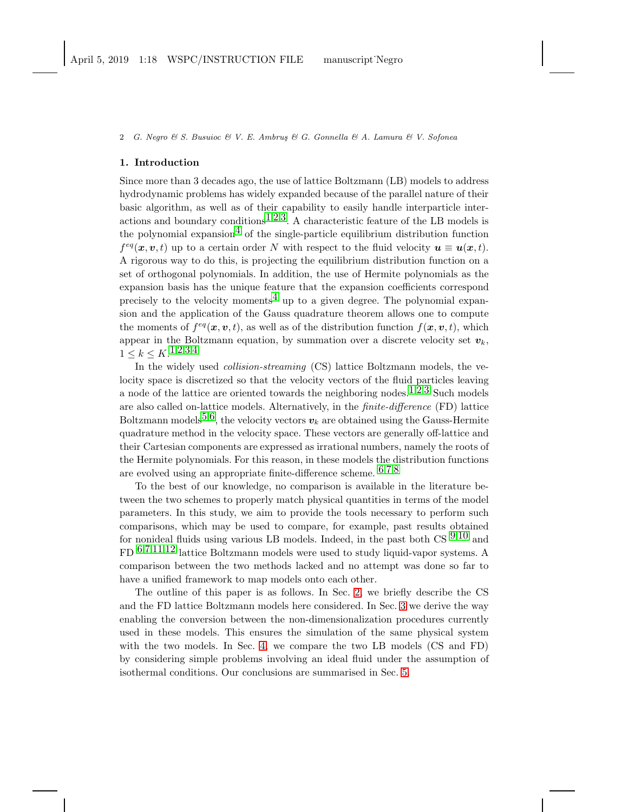2 G. Negro & S. Busuioc & V. E. Ambrus & G. Gonnella & A. Lamura & V. Sofonea

### 1. Introduction

Since more than 3 decades ago, the use of lattice Boltzmann (LB) models to address hydrodynamic problems has widely expanded because of the parallel nature of their basic algorithm, as well as of their capability to easily handle interparticle inter-actions and boundary conditions<sup>[1](#page-12-0),[2](#page-12-1),3</sup>. A characteristic feature of the LB models is the polynomial expansion<sup>4</sup> of the single-particle equilibrium distribution function  $f^{eq}(\boldsymbol{x},\boldsymbol{v},t)$  up to a certain order N with respect to the fluid velocity  $\boldsymbol{u} \equiv \boldsymbol{u}(\boldsymbol{x},t)$ . A rigorous way to do this, is projecting the equilibrium distribution function on a set of orthogonal polynomials. In addition, the use of Hermite polynomials as the expansion basis has the unique feature that the expansion coefficients correspond precisely to the velocity moments<sup>[4](#page-12-3)</sup> up to a given degree. The polynomial expansion and the application of the Gauss quadrature theorem allows one to compute the moments of  $f^{eq}(x, v, t)$ , as well as of the distribution function  $f(x, v, t)$ , which appear in the Boltzmann equation, by summation over a discrete velocity set  $v_k$ ,  $1 \leq k \leq K.$  $1 \leq k \leq K.$ <sup>1,[2](#page-12-1),[3](#page-12-2),[4](#page-12-3)</sup>

In the widely used *collision-streaming* (CS) lattice Boltzmann models, the velocity space is discretized so that the velocity vectors of the fluid particles leaving a node of the lattice are oriented towards the neighboring nodes.<sup>[1](#page-12-0),[2](#page-12-1),[3](#page-12-2)</sup> Such models are also called on-lattice models. Alternatively, in the finite-difference (FD) lattice Boltzmann models<sup>[5](#page-12-4),6</sup>, the velocity vectors  $v_k$  are obtained using the Gauss-Hermite quadrature method in the velocity space. These vectors are generally off-lattice and their Cartesian components are expressed as irrational numbers, namely the roots of the Hermite polynomials. For this reason, in these models the distribution functions are evolved using an appropriate finite-difference scheme. [6](#page-12-5),[7](#page-12-6),[8](#page-12-7)

To the best of our knowledge, no comparison is available in the literature between the two schemes to properly match physical quantities in terms of the model parameters. In this study, we aim to provide the tools necessary to perform such comparisons, which may be used to compare, for example, past results obtained for nonideal fluids using various LB models. Indeed, in the past both  $CS$   $9.10$  $9.10$  and FD [6](#page-12-5),[7](#page-12-6),[11](#page-13-1),[12](#page-13-2) lattice Boltzmann models were used to study liquid-vapor systems. A comparison between the two methods lacked and no attempt was done so far to have a unified framework to map models onto each other.

The outline of this paper is as follows. In Sec. [2,](#page-2-0) we briefly describe the CS and the FD lattice Boltzmann models here considered. In Sec. [3](#page-3-0) we derive the way enabling the conversion between the non-dimensionalization procedures currently used in these models. This ensures the simulation of the same physical system with the two models. In Sec. [4,](#page-4-0) we compare the two LB models (CS and FD) by considering simple problems involving an ideal fluid under the assumption of isothermal conditions. Our conclusions are summarised in Sec. [5.](#page-12-8)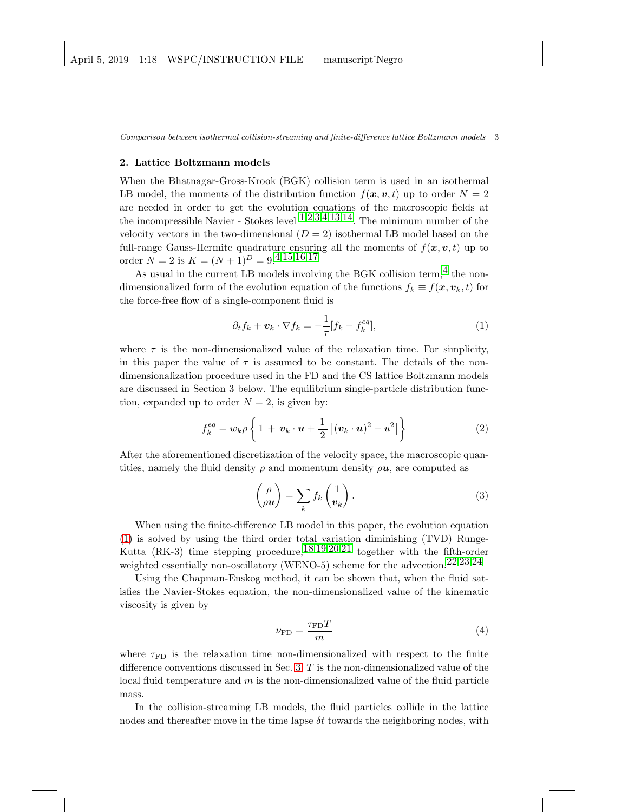### <span id="page-2-0"></span>2. Lattice Boltzmann models

When the Bhatnagar-Gross-Krook (BGK) collision term is used in an isothermal LB model, the moments of the distribution function  $f(x, v, t)$  up to order  $N = 2$ are needed in order to get the evolution equations of the macroscopic fields at the incompressible Navier - Stokes level  $1,2,3,4,13,14$  $1,2,3,4,13,14$  $1,2,3,4,13,14$  $1,2,3,4,13,14$  $1,2,3,4,13,14$  $1,2,3,4,13,14$  $1,2,3,4,13,14$  $1,2,3,4,13,14$  $1,2,3,4,13,14$  $1,2,3,4,13,14$ . The minimum number of the velocity vectors in the two-dimensional  $(D = 2)$  isothermal LB model based on the full-range Gauss-Hermite quadrature ensuring all the moments of  $f(\mathbf{x}, \mathbf{v}, t)$  up to order  $N = 2$  is  $K = (N + 1)^D = 9^{(4,15,16,17)}$  $K = (N + 1)^D = 9^{(4,15,16,17)}$  $K = (N + 1)^D = 9^{(4,15,16,17)}$  $K = (N + 1)^D = 9^{(4,15,16,17)}$  $K = (N + 1)^D = 9^{(4,15,16,17)}$  $K = (N + 1)^D = 9^{(4,15,16,17)}$  $K = (N + 1)^D = 9^{(4,15,16,17)}$  $K = (N + 1)^D = 9^{(4,15,16,17)}$  $K = (N + 1)^D = 9^{(4,15,16,17)}$ 

As usual in the current LB models involving the BGK collision term,  $4$  the nondimensionalized form of the evolution equation of the functions  $f_k \equiv f(x, v_k, t)$  for the force-free flow of a single-component fluid is

<span id="page-2-1"></span>
$$
\partial_t f_k + \boldsymbol{v}_k \cdot \nabla f_k = -\frac{1}{\tau} [f_k - f_k^{eq}], \tag{1}
$$

where  $\tau$  is the non-dimensionalized value of the relaxation time. For simplicity, in this paper the value of  $\tau$  is assumed to be constant. The details of the nondimensionalization procedure used in the FD and the CS lattice Boltzmann models are discussed in Section 3 below. The equilibrium single-particle distribution function, expanded up to order  $N = 2$ , is given by:

$$
f_k^{eq} = w_k \rho \left\{ 1 + \boldsymbol{v}_k \cdot \boldsymbol{u} + \frac{1}{2} \left[ (\boldsymbol{v}_k \cdot \boldsymbol{u})^2 - u^2 \right] \right\}
$$
 (2)

After the aforementioned discretization of the velocity space, the macroscopic quantities, namely the fluid density  $\rho$  and momentum density  $\rho u$ , are computed as

$$
\begin{pmatrix} \rho \\ \rho \mathbf{u} \end{pmatrix} = \sum_{k} f_k \begin{pmatrix} 1 \\ \mathbf{v}_k \end{pmatrix} . \tag{3}
$$

When using the finite-difference LB model in this paper, the evolution equation [\(1\)](#page-2-1) is solved by using the third order total variation diminishing (TVD) Runge-Kutta (RK-3) time stepping procedure,  $18,19,20,21$  $18,19,20,21$  $18,19,20,21$  $18,19,20,21$  $18,19,20,21$  $18,19,20,21$  $18,19,20,21$  together with the fifth-order weighted essentially non-oscillatory (WENO-5) scheme for the advection.<sup>[22](#page-13-12),[23](#page-13-13),[24](#page-13-14)</sup>

Using the Chapman-Enskog method, it can be shown that, when the fluid satisfies the Navier-Stokes equation, the non-dimensionalized value of the kinematic viscosity is given by

$$
\nu_{\rm FD} = \frac{\tau_{\rm FD} T}{m} \tag{4}
$$

where  $\tau_{FD}$  is the relaxation time non-dimensionalized with respect to the finite difference conventions discussed in Sec. [3,](#page-3-0)  $T$  is the non-dimensionalized value of the local fluid temperature and  $m$  is the non-dimensionalized value of the fluid particle mass.

In the collision-streaming LB models, the fluid particles collide in the lattice nodes and thereafter move in the time lapse  $\delta t$  towards the neighboring nodes, with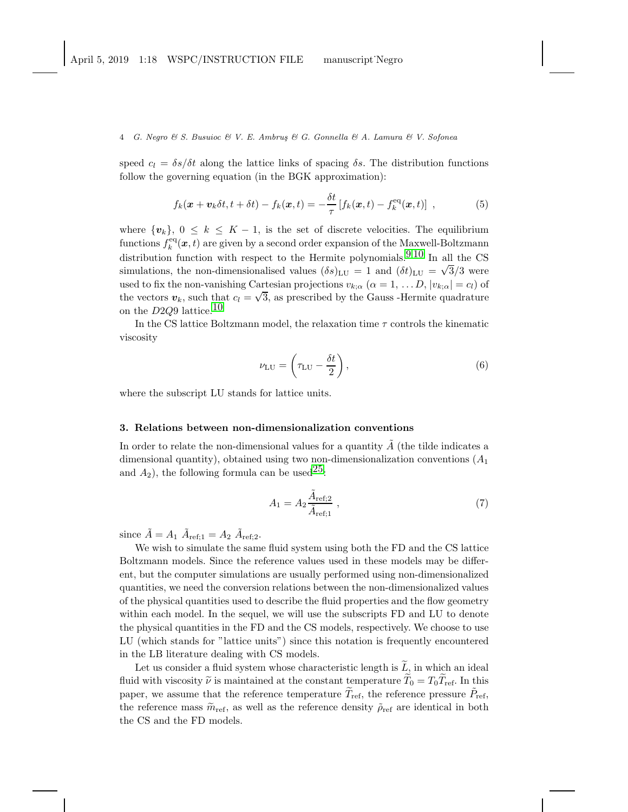4 G. Negro  $\mathcal C$  S. Busuioc  $\mathcal C$  V. E. Ambrus  $\mathcal C$  G. Gonnella  $\mathcal C$  A. Lamura  $\mathcal C$  V. Sofonea

speed  $c_l = \delta s/\delta t$  along the lattice links of spacing  $\delta s$ . The distribution functions follow the governing equation (in the BGK approximation):

$$
f_k(\boldsymbol{x} + \boldsymbol{v}_k \delta t, t + \delta t) - f_k(\boldsymbol{x}, t) = -\frac{\delta t}{\tau} \left[ f_k(\boldsymbol{x}, t) - f_k^{\text{eq}}(\boldsymbol{x}, t) \right] , \qquad (5)
$$

where  $\{v_k\}, 0 \leq k \leq K-1$ , is the set of discrete velocities. The equilibrium functions  $f_k^{\text{eq}}(x,t)$  are given by a second order expansion of the Maxwell-Boltzmann distribution function with respect to the Hermite polynomials.  $9,10$  $9,10$  In all the CS simulations, the non-dimensionalised values  $(\delta s)_{\text{LU}} = 1$  and  $(\delta t)_{\text{LU}} = \sqrt{3}/3$  were used to fix the non-vanishing Cartesian projections  $v_{k;\alpha}$   $(\alpha = 1, \ldots D, |v_{k;\alpha}| = c_l)$  of the vectors  $v_k$ , such that  $c_l = \sqrt{3}$ , as prescribed by the Gauss -Hermite quadrature on the  $D2Q9$  lattice.<sup>[10](#page-13-0)</sup>

In the CS lattice Boltzmann model, the relaxation time  $\tau$  controls the kinematic viscosity

<span id="page-3-1"></span>
$$
\nu_{\rm LU} = \left(\tau_{\rm LU} - \frac{\delta t}{2}\right),\tag{6}
$$

where the subscript LU stands for lattice units.

### <span id="page-3-0"></span>3. Relations between non-dimensionalization conventions

In order to relate the non-dimensional values for a quantity  $A$  (the tilde indicates a dimensional quantity), obtained using two non-dimensionalization conventions  $(A_1)$ and  $A_2$ ), the following formula can be used<sup>25</sup>:

$$
A_1 = A_2 \frac{\tilde{A}_{\text{ref};2}}{\tilde{A}_{\text{ref};1}} \tag{7}
$$

since  $\tilde{A} = A_1 \tilde{A}_{\text{ref;1}} = A_2 \tilde{A}_{\text{ref;2}}$ .

We wish to simulate the same fluid system using both the FD and the CS lattice Boltzmann models. Since the reference values used in these models may be different, but the computer simulations are usually performed using non-dimensionalized quantities, we need the conversion relations between the non-dimensionalized values of the physical quantities used to describe the fluid properties and the flow geometry within each model. In the sequel, we will use the subscripts FD and LU to denote the physical quantities in the FD and the CS models, respectively. We choose to use LU (which stands for "lattice units") since this notation is frequently encountered in the LB literature dealing with CS models.

Let us consider a fluid system whose characteristic length is  $\tilde{L}$ , in which an ideal fluid with viscosity  $\tilde{\nu}$  is maintained at the constant temperature  $\tilde{T}_0 = T_0 \tilde{T}_{ref}$ . In this paper, we assume that the reference temperature  $\widetilde{T}_{\mathrm{ref}}$ , the reference pressure  $\widetilde{P}_{\mathrm{ref}}$ , the reference mass  $\tilde{m}_{\text{ref}}$ , as well as the reference density  $\tilde{\rho}_{\text{ref}}$  are identical in both the CS and the FD models.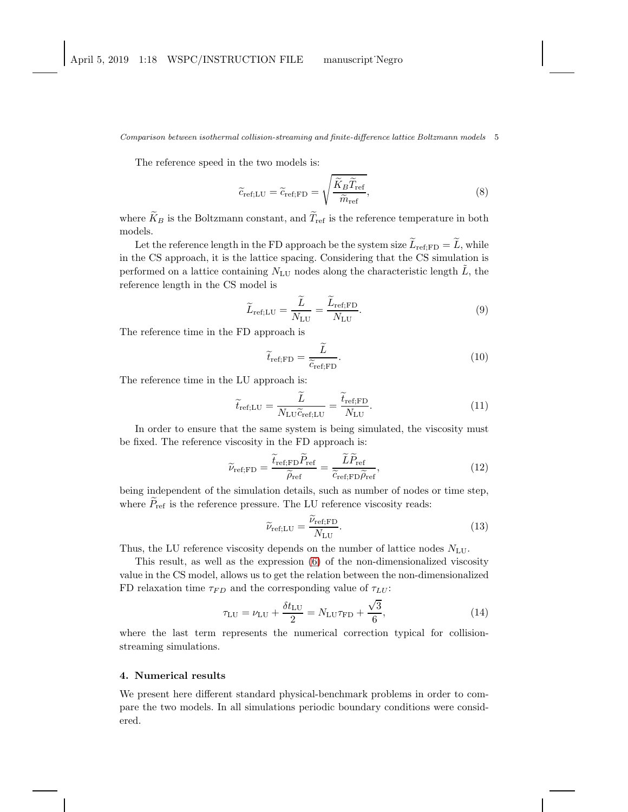The reference speed in the two models is:

$$
\tilde{c}_{\text{ref;LU}} = \tilde{c}_{\text{ref;FD}} = \sqrt{\frac{\tilde{K}_B \tilde{T}_{\text{ref}}}{\tilde{m}_{\text{ref}}}},\tag{8}
$$

where  $\widetilde{K}_B$  is the Boltzmann constant, and  $\widetilde{T}_{ref}$  is the reference temperature in both models.

Let the reference length in the FD approach be the system size  $\widetilde{L}_{\text{ref:FD}} = \widetilde{L}$ , while in the CS approach, it is the lattice spacing. Considering that the CS simulation is performed on a lattice containing  $N_{\text{LU}}$  nodes along the characteristic length  $\tilde{L}$ , the reference length in the CS model is

$$
\widetilde{L}_{\text{ref;LU}} = \frac{\widetilde{L}}{N_{\text{LU}}} = \frac{\widetilde{L}_{\text{ref;FD}}}{N_{\text{LU}}}.
$$
\n(9)

The reference time in the FD approach is

$$
\widetilde{t}_{\text{ref;FD}} = \frac{\widetilde{L}}{\widetilde{c}_{\text{ref;FD}}}.\tag{10}
$$

The reference time in the LU approach is:

$$
\widetilde{t}_{\text{ref;LU}} = \frac{\widetilde{L}}{N_{\text{LU}}\widetilde{c}_{\text{ref;LU}}} = \frac{\widetilde{t}_{\text{ref;FD}}}{N_{\text{LU}}}.\tag{11}
$$

In order to ensure that the same system is being simulated, the viscosity must be fixed. The reference viscosity in the FD approach is:

$$
\widetilde{\nu}_{\text{ref;FD}} = \frac{\widetilde{t}_{\text{ref;FD}} \widetilde{P}_{\text{ref}}}{\widetilde{\rho}_{\text{ref}}} = \frac{\widetilde{L} \widetilde{P}_{\text{ref}}}{\widetilde{c}_{\text{ref;FD}} \widetilde{\rho}_{\text{ref}}},\tag{12}
$$

being independent of the simulation details, such as number of nodes or time step, where  $P_{\text{ref}}$  is the reference pressure. The LU reference viscosity reads:

$$
\widetilde{\nu}_{\text{ref;LU}} = \frac{\widetilde{\nu}_{\text{ref;FD}}}{N_{\text{LU}}}.\tag{13}
$$

Thus, the LU reference viscosity depends on the number of lattice nodes  $N_{\text{LU}}$ .

This result, as well as the expression [\(6\)](#page-3-1) of the non-dimensionalized viscosity value in the CS model, allows us to get the relation between the non-dimensionalized FD relaxation time  $\tau_{FD}$  and the corresponding value of  $\tau_{LU}$ :

<span id="page-4-1"></span>
$$
\tau_{\text{LU}} = \nu_{\text{LU}} + \frac{\delta t_{\text{LU}}}{2} = N_{\text{LU}} \tau_{\text{FD}} + \frac{\sqrt{3}}{6},\tag{14}
$$

where the last term represents the numerical correction typical for collisionstreaming simulations.

## <span id="page-4-0"></span>4. Numerical results

We present here different standard physical-benchmark problems in order to compare the two models. In all simulations periodic boundary conditions were considered.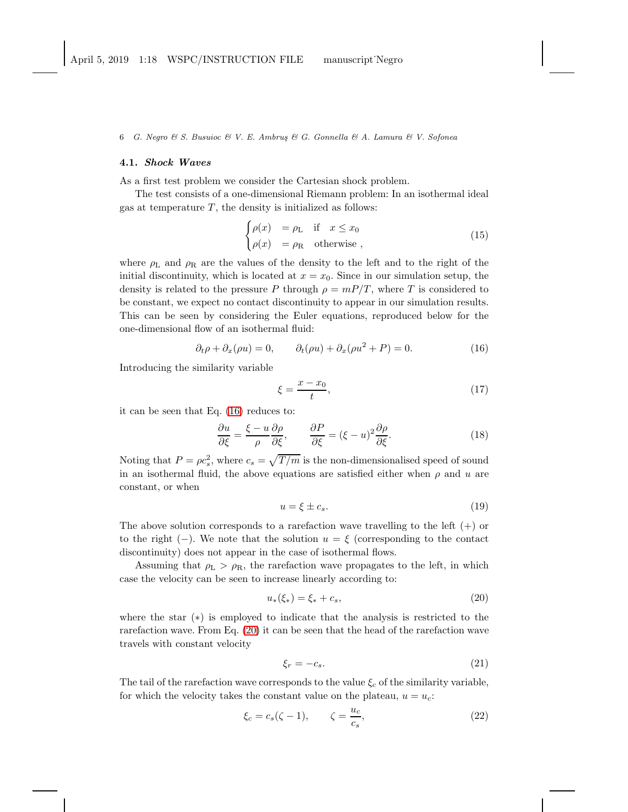6 G. Negro & S. Busuioc & V. E. Ambrus & G. Gonnella & A. Lamura & V. Sofonea

## 4.1. Shock Waves

As a first test problem we consider the Cartesian shock problem.

The test consists of a one-dimensional Riemann problem: In an isothermal ideal gas at temperature  $T$ , the density is initialized as follows:

$$
\begin{cases}\n\rho(x) &= \rho_L & \text{if } x \le x_0 \\
\rho(x) &= \rho_R & \text{otherwise}\n\end{cases}
$$
\n(15)

where  $\rho_L$  and  $\rho_R$  are the values of the density to the left and to the right of the initial discontinuity, which is located at  $x = x_0$ . Since in our simulation setup, the density is related to the pressure P through  $\rho = mP/T$ , where T is considered to be constant, we expect no contact discontinuity to appear in our simulation results. This can be seen by considering the Euler equations, reproduced below for the one-dimensional flow of an isothermal fluid:

<span id="page-5-0"></span>
$$
\partial_t \rho + \partial_x(\rho u) = 0, \qquad \partial_t(\rho u) + \partial_x(\rho u^2 + P) = 0. \tag{16}
$$

Introducing the similarity variable

$$
\xi = \frac{x - x_0}{t},\tag{17}
$$

it can be seen that Eq. [\(16\)](#page-5-0) reduces to:

<span id="page-5-2"></span>
$$
\frac{\partial u}{\partial \xi} = \frac{\xi - u}{\rho} \frac{\partial \rho}{\partial \xi}, \qquad \frac{\partial P}{\partial \xi} = (\xi - u)^2 \frac{\partial \rho}{\partial \xi}.
$$
(18)

Noting that  $P = \rho c_s^2$ , where  $c_s = \sqrt{T/m}$  is the non-dimensionalised speed of sound in an isothermal fluid, the above equations are satisfied either when  $\rho$  and u are constant, or when

$$
u = \xi \pm c_s. \tag{19}
$$

The above solution corresponds to a rarefaction wave travelling to the left  $(+)$  or to the right (−). We note that the solution  $u = \xi$  (corresponding to the contact discontinuity) does not appear in the case of isothermal flows.

Assuming that  $\rho_L > \rho_R$ , the rarefaction wave propagates to the left, in which case the velocity can be seen to increase linearly according to:

<span id="page-5-1"></span>
$$
u_*(\xi_*) = \xi_* + c_s,\tag{20}
$$

where the star (∗) is employed to indicate that the analysis is restricted to the rarefaction wave. From Eq. [\(20\)](#page-5-1) it can be seen that the head of the rarefaction wave travels with constant velocity

$$
\xi_r = -c_s. \tag{21}
$$

The tail of the rarefaction wave corresponds to the value  $\xi_c$  of the similarity variable, for which the velocity takes the constant value on the plateau,  $u = u_c$ .

<span id="page-5-3"></span>
$$
\xi_c = c_s(\zeta - 1), \qquad \zeta = \frac{u_c}{c_s}, \tag{22}
$$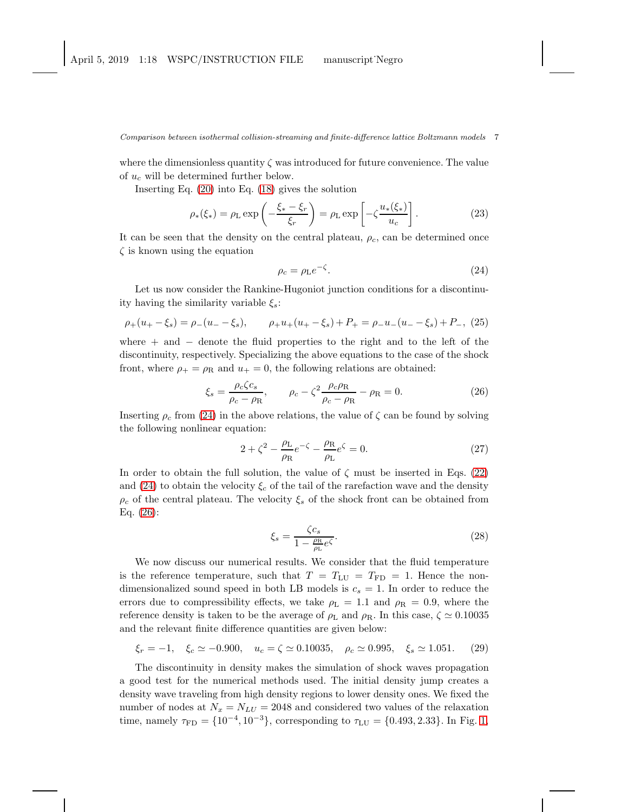where the dimensionless quantity  $\zeta$  was introduced for future convenience. The value of  $u_c$  will be determined further below.

Inserting Eq. [\(20\)](#page-5-1) into Eq. [\(18\)](#page-5-2) gives the solution

$$
\rho_*(\xi_*) = \rho_L \exp\left(-\frac{\xi_* - \xi_r}{\xi_r}\right) = \rho_L \exp\left[-\zeta \frac{u_*(\xi_*)}{u_c}\right].\tag{23}
$$

It can be seen that the density on the central plateau,  $\rho_c$ , can be determined once  $\zeta$  is known using the equation

<span id="page-6-0"></span>
$$
\rho_c = \rho_L e^{-\zeta}.\tag{24}
$$

Let us now consider the Rankine-Hugoniot junction conditions for a discontinuity having the similarity variable  $\xi_s$ :

$$
\rho_+(u_+-\xi_s) = \rho_-(u_--\xi_s), \qquad \rho_+u_+(u_+-\xi_s) + P_+ = \rho_-u_-(u_--\xi_s) + P_-, \tag{25}
$$

where  $+$  and  $-$  denote the fluid properties to the right and to the left of the discontinuity, respectively. Specializing the above equations to the case of the shock front, where  $\rho_+ = \rho_R$  and  $u_+ = 0$ , the following relations are obtained:

<span id="page-6-1"></span>
$$
\xi_s = \frac{\rho_c \zeta c_s}{\rho_c - \rho_R}, \qquad \rho_c - \zeta^2 \frac{\rho_c \rho_R}{\rho_c - \rho_R} - \rho_R = 0. \tag{26}
$$

Inserting  $\rho_c$  from [\(24\)](#page-6-0) in the above relations, the value of  $\zeta$  can be found by solving the following nonlinear equation:

$$
2 + \zeta^2 - \frac{\rho_L}{\rho_R} e^{-\zeta} - \frac{\rho_R}{\rho_L} e^{\zeta} = 0.
$$
 (27)

In order to obtain the full solution, the value of  $\zeta$  must be inserted in Eqs. [\(22\)](#page-5-3) and [\(24\)](#page-6-0) to obtain the velocity  $\xi_c$  of the tail of the rarefaction wave and the density  $\rho_c$  of the central plateau. The velocity  $\xi_s$  of the shock front can be obtained from Eq. [\(26\)](#page-6-1):

$$
\xi_s = \frac{\zeta c_s}{1 - \frac{\rho_R}{\rho_L} e^{\zeta}}.\tag{28}
$$

We now discuss our numerical results. We consider that the fluid temperature is the reference temperature, such that  $T = T_{LU} = T_{FD} = 1$ . Hence the nondimensionalized sound speed in both LB models is  $c_s = 1$ . In order to reduce the errors due to compressibility effects, we take  $\rho_L = 1.1$  and  $\rho_R = 0.9$ , where the reference density is taken to be the average of  $\rho_L$  and  $\rho_R$ . In this case,  $\zeta \simeq 0.10035$ and the relevant finite difference quantities are given below:

$$
\xi_r = -1, \quad \xi_c \simeq -0.900, \quad u_c = \zeta \simeq 0.10035, \quad \rho_c \simeq 0.995, \quad \xi_s \simeq 1.051. \tag{29}
$$

The discontinuity in density makes the simulation of shock waves propagation a good test for the numerical methods used. The initial density jump creates a density wave traveling from high density regions to lower density ones. We fixed the number of nodes at  $N_x = N_{LU} = 2048$  and considered two values of the relaxation time, namely  $\tau_{\text{FD}} = \{10^{-4}, 10^{-3}\}$ , corresponding to  $\tau_{\text{LU}} = \{0.493, 2.33\}$ . In Fig. [1,](#page-7-0)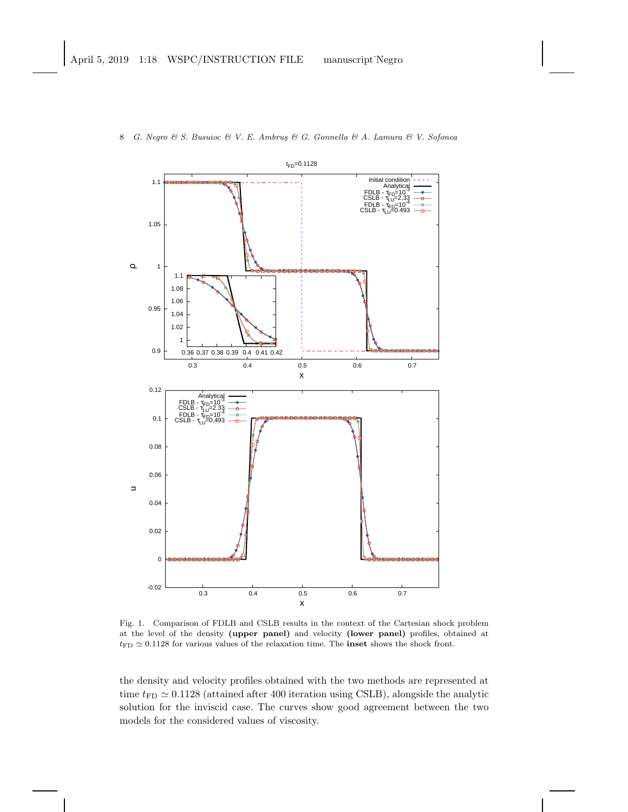

8 G. Negro & S. Busuioc & V. E. Ambruş & G. Gonnella & A. Lamura & V. Sofonea

<span id="page-7-0"></span>Fig. 1. Comparison of FDLB and CSLB results in the context of the Cartesian shock problem at the level of the density (upper panel) and velocity (lower panel) profiles, obtained at  $t_{\text{FD}} \simeq 0.1128$  for various values of the relaxation time. The **inset** shows the shock front.

the density and velocity profiles obtained with the two methods are represented at time  $t_{FD} \simeq 0.1128$  (attained after 400 iteration using CSLB), alongside the analytic solution for the inviscid case. The curves show good agreement between the two models for the considered values of viscosity.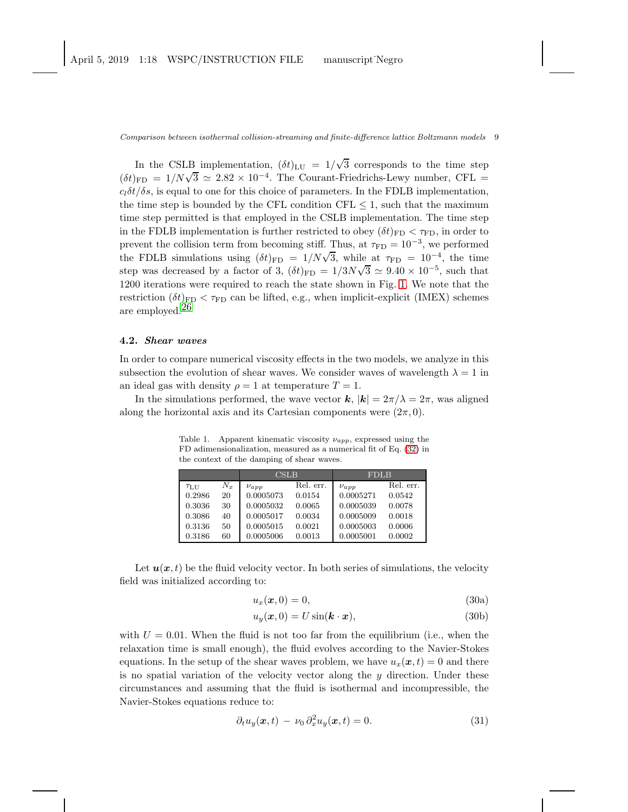In the CSLB implementation,  $(\delta t)_{\text{LU}} = 1/\sqrt{3}$  corresponds to the time step  $(\delta t)_{\text{FD}} = 1/N\sqrt{3} \simeq 2.82 \times 10^{-4}$ . The Courant-Friedrichs-Lewy number, CFL =  $c_l\delta t/\delta s$ , is equal to one for this choice of parameters. In the FDLB implementation, the time step is bounded by the CFL condition CFL  $\leq$  1, such that the maximum time step permitted is that employed in the CSLB implementation. The time step in the FDLB implementation is further restricted to obey  $(\delta t)_{\text{FD}} < \tau_{\text{FD}}$ , in order to prevent the collision term from becoming stiff. Thus, at  $\tau_{FD} = 10^{-3}$ , we performed the FDLB simulations using  $(\delta t)_{\text{FD}} = 1/N\sqrt{3}$ , while at  $\tau_{\text{FD}} = 10^{-4}$ , the time step was decreased by a factor of 3,  $(\delta t)_{\text{FD}} = 1/3N\sqrt{3} \approx 9.40 \times 10^{-5}$ , such that 1200 iterations were required to reach the state shown in Fig. [1.](#page-7-0) We note that the restriction  $(\delta t)_{FD} < \tau_{FD}$  can be lifted, e.g., when implicit-explicit (IMEX) schemes are employed.<sup>[26](#page-13-16)</sup>

### 4.2. Shear waves

In order to compare numerical viscosity effects in the two models, we analyze in this subsection the evolution of shear waves. We consider waves of wavelength  $\lambda = 1$  in an ideal gas with density  $\rho = 1$  at temperature  $T = 1$ .

In the simulations performed, the wave vector k,  $|k| = 2\pi/\lambda = 2\pi$ , was aligned along the horizontal axis and its Cartesian components were  $(2\pi, 0)$ .

<span id="page-8-0"></span>Table 1. Apparent kinematic viscosity  $\nu_{app}$ , expressed using the FD adimensionalization, measured as a numerical fit of Eq. [\(32\)](#page-9-0) in the context of the damping of shear waves.

|                  |             | CSLB        |           | <b>FDLB</b> |           |
|------------------|-------------|-------------|-----------|-------------|-----------|
| $\tau_{\rm LUI}$ | $N_{\rm r}$ | $\nu_{app}$ | Rel. err. | $\nu_{app}$ | Rel. err. |
| 0.2986           | 20          | 0.0005073   | 0.0154    | 0.0005271   | 0.0542    |
| 0.3036           | 30          | 0.0005032   | 0.0065    | 0.0005039   | 0.0078    |
| 0.3086           | 40          | 0.0005017   | 0.0034    | 0.0005009   | 0.0018    |
| 0.3136           | 50          | 0.0005015   | 0.0021    | 0.0005003   | 0.0006    |
| 0.3186           | 60          | 0.0005006   | 0.0013    | 0.0005001   | 0.0002    |

Let  $u(x, t)$  be the fluid velocity vector. In both series of simulations, the velocity field was initialized according to:

$$
u_x(\boldsymbol{x},0) = 0,\t\t(30a)
$$

$$
u_y(\boldsymbol{x},0) = U\sin(\boldsymbol{k}\cdot\boldsymbol{x}),\tag{30b}
$$

with  $U = 0.01$ . When the fluid is not too far from the equilibrium (i.e., when the relaxation time is small enough), the fluid evolves according to the Navier-Stokes equations. In the setup of the shear waves problem, we have  $u_x(\mathbf{x}, t) = 0$  and there is no spatial variation of the velocity vector along the  $y$  direction. Under these circumstances and assuming that the fluid is isothermal and incompressible, the Navier-Stokes equations reduce to:

$$
\partial_t u_y(\boldsymbol{x},t) - \nu_0 \partial_x^2 u_y(\boldsymbol{x},t) = 0.
$$
\n(31)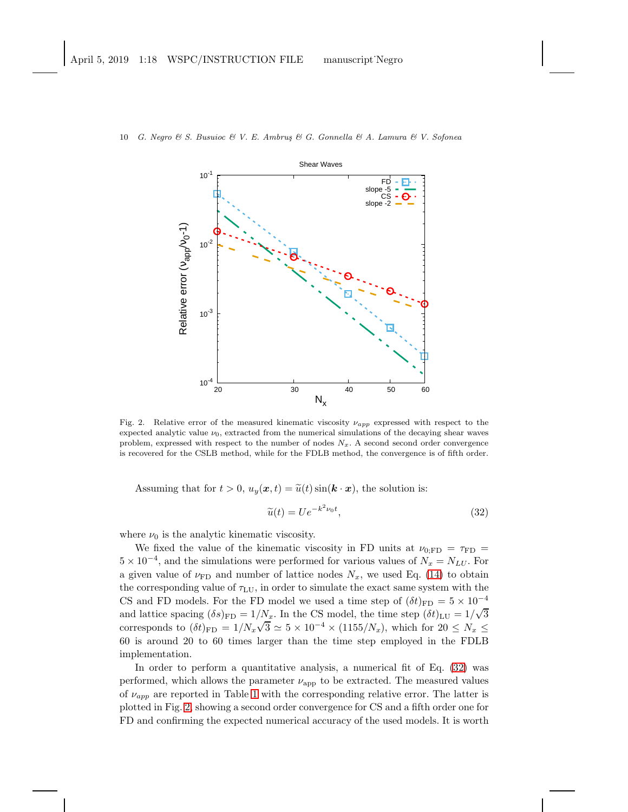

10 G. Negro & S. Busuioc & V. E. Ambrus & G. Gonnella & A. Lamura & V. Sofonea

<span id="page-9-1"></span>Fig. 2. Relative error of the measured kinematic viscosity  $\nu_{app}$  expressed with respect to the expected analytic value  $\nu_0$ , extracted from the numerical simulations of the decaying shear waves problem, expressed with respect to the number of nodes  $N_x$ . A second second order convergence is recovered for the CSLB method, while for the FDLB method, the convergence is of fifth order.

Assuming that for  $t > 0$ ,  $u_y(x, t) = \tilde{u}(t) \sin(k \cdot x)$ , the solution is:

<span id="page-9-0"></span>
$$
\widetilde{u}(t) = U e^{-k^2 \nu_0 t},\tag{32}
$$

where  $\nu_0$  is the analytic kinematic viscosity.

We fixed the value of the kinematic viscosity in FD units at  $\nu_{0:\text{FD}} = \tau_{\text{FD}} =$  $5 \times 10^{-4}$ , and the simulations were performed for various values of  $N_x = N_{LU}$ . For a given value of  $\nu_{\text{FD}}$  and number of lattice nodes  $N_x$ , we used Eq. [\(14\)](#page-4-1) to obtain the corresponding value of  $\tau_{\text{LU}}$ , in order to simulate the exact same system with the CS and FD models. For the FD model we used a time step of  $(\delta t)_{\text{FD}} = 5 \times 10^{-4}$ and lattice spacing  $(\delta s)_{\text{FD}} = 1/N_x$ . In the CS model, the time step  $(\delta t)_{\text{LU}} = 1/\sqrt{3}$ corresponds to  $(\delta t)_{\text{FD}} = 1/N_x \sqrt{3} \simeq 5 \times 10^{-4} \times (1155/N_x)$ , which for  $20 \le N_x \le$ 60 is around 20 to 60 times larger than the time step employed in the FDLB implementation.

In order to perform a quantitative analysis, a numerical fit of Eq. [\(32\)](#page-9-0) was performed, which allows the parameter  $\nu_{\text{app}}$  to be extracted. The measured values of  $\nu_{app}$  are reported in Table [1](#page-8-0) with the corresponding relative error. The latter is plotted in Fig. [2,](#page-9-1) showing a second order convergence for CS and a fifth order one for FD and confirming the expected numerical accuracy of the used models. It is worth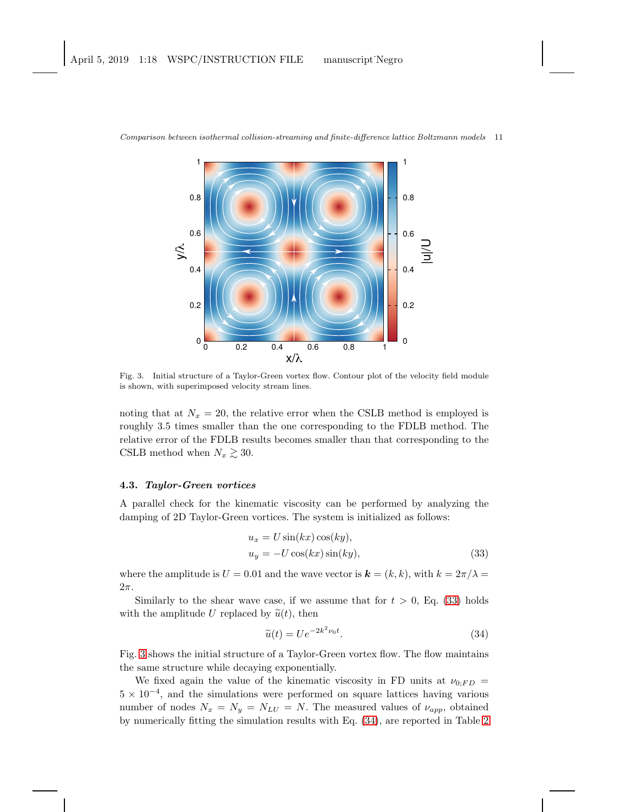

<span id="page-10-1"></span>Fig. 3. Initial structure of a Taylor-Green vortex flow. Contour plot of the velocity field module is shown, with superimposed velocity stream lines.

noting that at  $N_x = 20$ , the relative error when the CSLB method is employed is roughly 3.5 times smaller than the one corresponding to the FDLB method. The relative error of the FDLB results becomes smaller than that corresponding to the CSLB method when  $N_x \gtrsim 30$ .

### 4.3. Taylor-Green vortices

A parallel check for the kinematic viscosity can be performed by analyzing the damping of 2D Taylor-Green vortices. The system is initialized as follows:

<span id="page-10-0"></span>
$$
u_x = U \sin(kx) \cos(ky),
$$
  
\n
$$
u_y = -U \cos(kx) \sin(ky),
$$
\n(33)

where the amplitude is  $U = 0.01$  and the wave vector is  $\mathbf{k} = (k, k)$ , with  $k = 2\pi/\lambda =$  $2\pi$ .

Similarly to the shear wave case, if we assume that for  $t > 0$ , Eq. [\(33\)](#page-10-0) holds with the amplitude U replaced by  $\tilde{u}(t)$ , then

<span id="page-10-2"></span>
$$
\widetilde{u}(t) = U e^{-2k^2 \nu_0 t}.
$$
\n(34)

Fig. [3](#page-10-1) shows the initial structure of a Taylor-Green vortex flow. The flow maintains the same structure while decaying exponentially.

We fixed again the value of the kinematic viscosity in FD units at  $\nu_{0;FD}$  =  $5 \times 10^{-4}$ , and the simulations were performed on square lattices having various number of nodes  $N_x = N_y = N_{LU} = N$ . The measured values of  $\nu_{app}$ , obtained by numerically fitting the simulation results with Eq. [\(34\)](#page-10-2), are reported in Table [2](#page-11-0)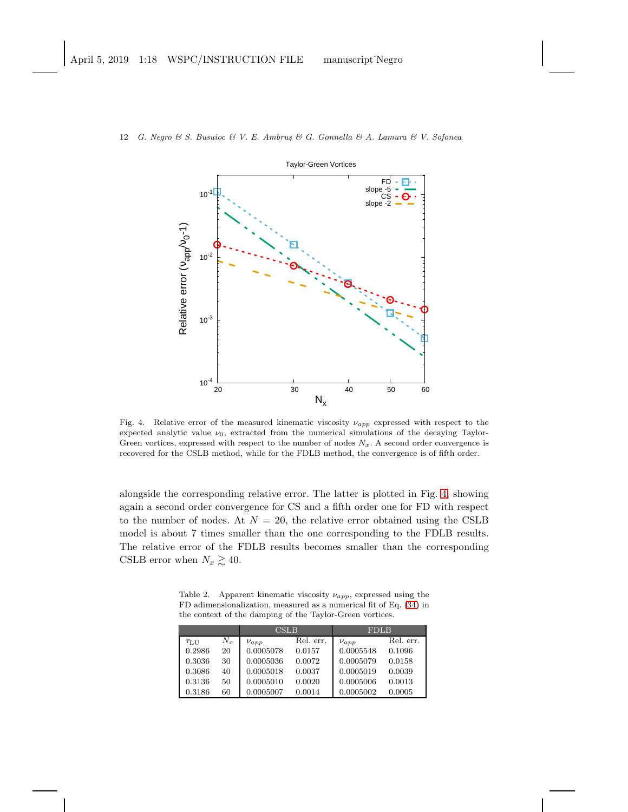

12 G. Negro & S. Busuioc & V. E. Ambru¸s & G. Gonnella & A. Lamura & V. Sofonea

<span id="page-11-1"></span>Fig. 4. Relative error of the measured kinematic viscosity  $\nu_{app}$  expressed with respect to the expected analytic value  $\nu_0$ , extracted from the numerical simulations of the decaying Taylor-Green vortices, expressed with respect to the number of nodes  $N_x$ . A second order convergence is recovered for the CSLB method, while for the FDLB method, the convergence is of fifth order.

alongside the corresponding relative error. The latter is plotted in Fig. [4,](#page-11-1) showing again a second order convergence for CS and a fifth order one for FD with respect to the number of nodes. At  $N = 20$ , the relative error obtained using the CSLB model is about 7 times smaller than the one corresponding to the FDLB results. The relative error of the FDLB results becomes smaller than the corresponding CSLB error when  $N_x \gtrsim 40$ .

<span id="page-11-0"></span>Table 2. Apparent kinematic viscosity  $\nu_{app}$ , expressed using the FD adimensionalization, measured as a numerical fit of Eq. [\(34\)](#page-10-2) in the context of the damping of the Taylor-Green vortices.

|        |       | CSLB        |           | <b>FDLB</b> |           |
|--------|-------|-------------|-----------|-------------|-----------|
| TLI    | $N_x$ | $\nu_{app}$ | Rel. err. | $\nu_{app}$ | Rel. err. |
| 0.2986 | 20    | 0.0005078   | 0.0157    | 0.0005548   | 0.1096    |
| 0.3036 | 30    | 0.0005036   | 0.0072    | 0.0005079   | 0.0158    |
| 0.3086 | 40    | 0.0005018   | 0.0037    | 0.0005019   | 0.0039    |
| 0.3136 | 50    | 0.0005010   | 0.0020    | 0.0005006   | 0.0013    |
| 0.3186 | 60    | 0.0005007   | 0.0014    | 0.0005002   | 0.0005    |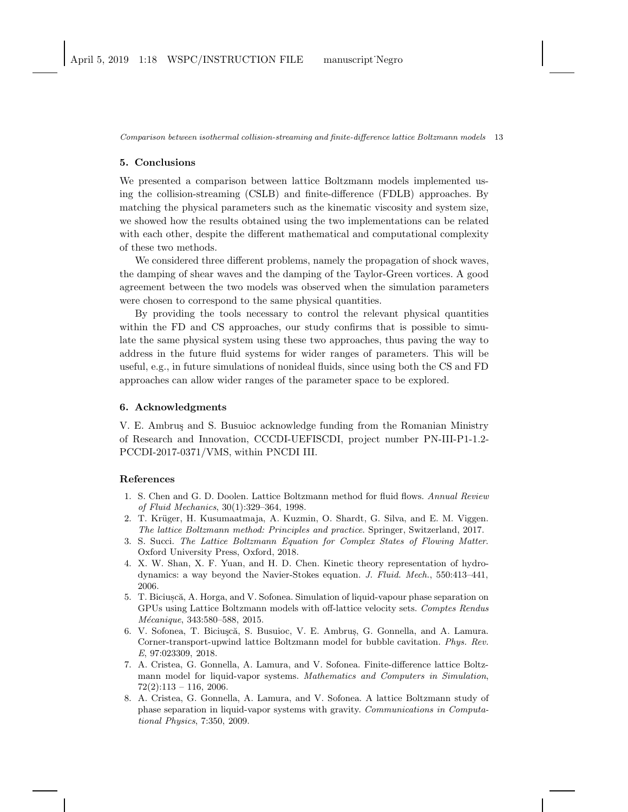### <span id="page-12-8"></span>5. Conclusions

We presented a comparison between lattice Boltzmann models implemented using the collision-streaming (CSLB) and finite-difference (FDLB) approaches. By matching the physical parameters such as the kinematic viscosity and system size, we showed how the results obtained using the two implementations can be related with each other, despite the different mathematical and computational complexity of these two methods.

We considered three different problems, namely the propagation of shock waves, the damping of shear waves and the damping of the Taylor-Green vortices. A good agreement between the two models was observed when the simulation parameters were chosen to correspond to the same physical quantities.

By providing the tools necessary to control the relevant physical quantities within the FD and CS approaches, our study confirms that is possible to simulate the same physical system using these two approaches, thus paving the way to address in the future fluid systems for wider ranges of parameters. This will be useful, e.g., in future simulations of nonideal fluids, since using both the CS and FD approaches can allow wider ranges of the parameter space to be explored.

### 6. Acknowledgments

V. E. Ambrus and S. Busuioc acknowledge funding from the Romanian Ministry of Research and Innovation, CCCDI-UEFISCDI, project number PN-III-P1-1.2- PCCDI-2017-0371/VMS, within PNCDI III.

### <span id="page-12-0"></span>References

- 1. S. Chen and G. D. Doolen. Lattice Boltzmann method for fluid flows. Annual Review of Fluid Mechanics, 30(1):329–364, 1998.
- <span id="page-12-1"></span>2. T. Krüger, H. Kusumaatmaja, A. Kuzmin, O. Shardt, G. Silva, and E. M. Viggen. The lattice Boltzmann method: Principles and practice. Springer, Switzerland, 2017.
- <span id="page-12-2"></span>3. S. Succi. The Lattice Boltzmann Equation for Complex States of Flowing Matter. Oxford University Press, Oxford, 2018.
- <span id="page-12-3"></span>4. X. W. Shan, X. F. Yuan, and H. D. Chen. Kinetic theory representation of hydrodynamics: a way beyond the Navier-Stokes equation. J. Fluid. Mech., 550:413–441, 2006.
- <span id="page-12-4"></span>5. T. Bicius,că, A. Horga, and V. Sofonea. Simulation of liquid-vapour phase separation on GPUs using Lattice Boltzmann models with off-lattice velocity sets. Comptes Rendus Mécanique, 343:580-588, 2015.
- <span id="page-12-5"></span>6. V. Sofonea, T. Biciuscă, S. Busuioc, V. E. Ambrus, G. Gonnella, and A. Lamura. Corner-transport-upwind lattice Boltzmann model for bubble cavitation. Phys. Rev. E, 97:023309, 2018.
- <span id="page-12-6"></span>7. A. Cristea, G. Gonnella, A. Lamura, and V. Sofonea. Finite-difference lattice Boltzmann model for liquid-vapor systems. Mathematics and Computers in Simulation,  $72(2):113 - 116$ , 2006.
- <span id="page-12-7"></span>8. A. Cristea, G. Gonnella, A. Lamura, and V. Sofonea. A lattice Boltzmann study of phase separation in liquid-vapor systems with gravity. Communications in Computational Physics, 7:350, 2009.